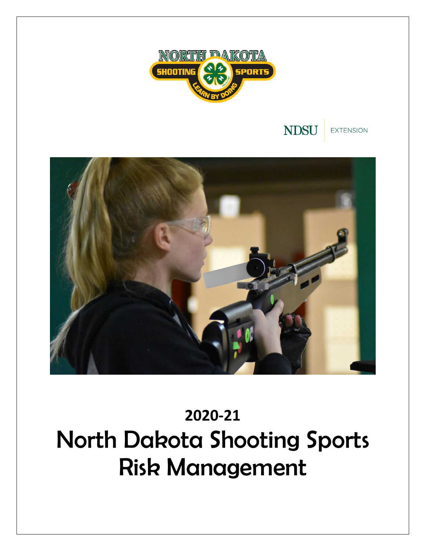



**EXTENSION** 



# **2020-21** North Dakota Shooting Sports Risk Management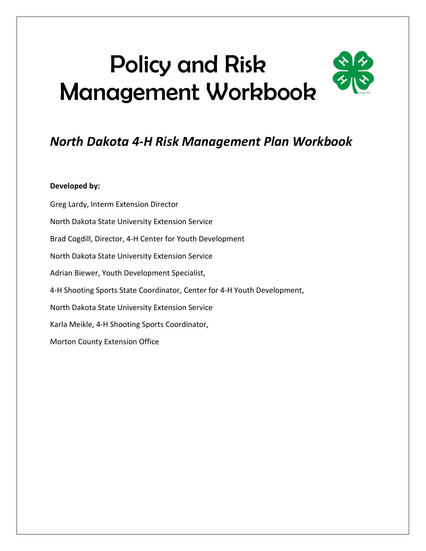# Policy and Risk Management Workbook

## *North Dakota 4-H Risk Management Plan Workbook*

#### **Developed by:**

Greg Lardy, Interm Extension Director North Dakota State University Extension Service Brad Cogdill, Director, 4-H Center for Youth Development North Dakota State University Extension Service Adrian Biewer, Youth Development Specialist, 4-H Shooting Sports State Coordinator, Center for 4-H Youth Development, North Dakota State University Extension Service Karla Meikle, 4-H Shooting Sports Coordinator, Morton County Extension Office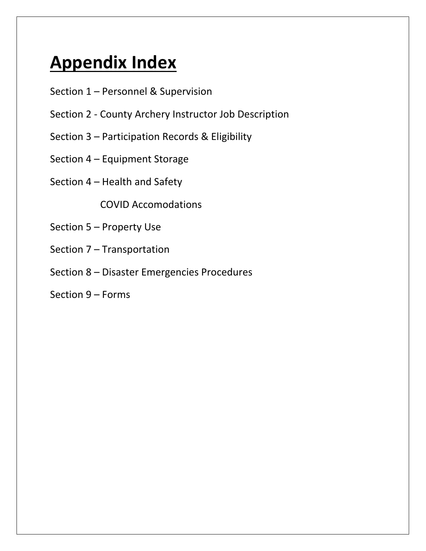## **Appendix Index**

- Section 1 Personnel & Supervision
- Section 2 County Archery Instructor Job Description
- Section 3 Participation Records & Eligibility
- Section 4 Equipment Storage
- Section 4 Health and Safety

COVID Accomodations

- Section 5 Property Use
- Section 7 Transportation
- Section 8 Disaster Emergencies Procedures
- Section 9 Forms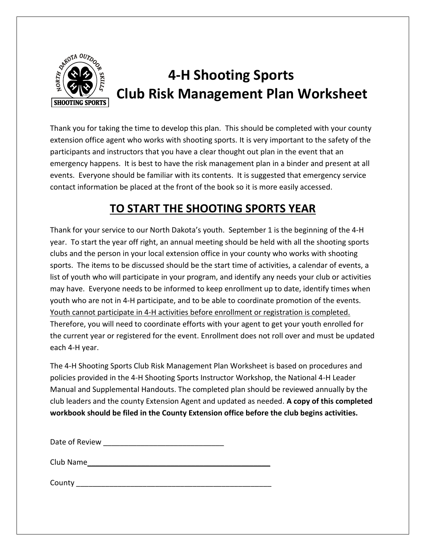

## **4-H Shooting Sports EXAMPLE Club Risk Management Plan Worksheet**

Thank you for taking the time to develop this plan. This should be completed with your county extension office agent who works with shooting sports. It is very important to the safety of the participants and instructors that you have a clear thought out plan in the event that an emergency happens. It is best to have the risk management plan in a binder and present at all events. Everyone should be familiar with its contents. It is suggested that emergency service contact information be placed at the front of the book so it is more easily accessed.

## **TO START THE SHOOTING SPORTS YEAR**

Thank for your service to our North Dakota's youth. September 1 is the beginning of the 4-H year. To start the year off right, an annual meeting should be held with all the shooting sports clubs and the person in your local extension office in your county who works with shooting sports. The items to be discussed should be the start time of activities, a calendar of events, a list of youth who will participate in your program, and identify any needs your club or activities may have. Everyone needs to be informed to keep enrollment up to date, identify times when youth who are not in 4-H participate, and to be able to coordinate promotion of the events. Youth cannot participate in 4-H activities before enrollment or registration is completed. Therefore, you will need to coordinate efforts with your agent to get your youth enrolled for the current year or registered for the event. Enrollment does not roll over and must be updated each 4-H year.

The 4-H Shooting Sports Club Risk Management Plan Worksheet is based on procedures and policies provided in the 4-H Shooting Sports Instructor Workshop, the National 4-H Leader Manual and Supplemental Handouts. The completed plan should be reviewed annually by the club leaders and the county Extension Agent and updated as needed. **A copy of this completed workbook should be filed in the County Extension office before the club begins activities.**

Date of Review **Example 20** 

Club Name

County and the county of the county of the county of the county of the county of the county of the county of the county of the county of the county of the county of the county of the county of the county of the county of t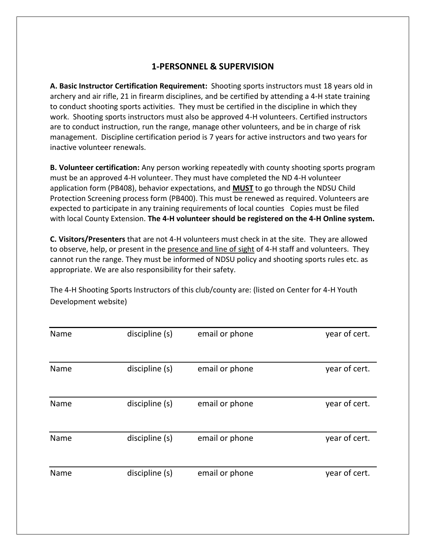#### **1-PERSONNEL & SUPERVISION**

**A. Basic Instructor Certification Requirement:** Shooting sports instructors must 18 years old in archery and air rifle, 21 in firearm disciplines, and be certified by attending a 4-H state training to conduct shooting sports activities. They must be certified in the discipline in which they work. Shooting sports instructors must also be approved 4-H volunteers. Certified instructors are to conduct instruction, run the range, manage other volunteers, and be in charge of risk management. Discipline certification period is 7 years for active instructors and two years for inactive volunteer renewals.

**B. Volunteer certification:** Any person working repeatedly with county shooting sports program must be an approved 4-H volunteer. They must have completed the ND 4-H volunteer application form (PB408), behavior expectations, and **MUST** to go through the NDSU Child Protection Screening process form (PB400). This must be renewed as required. Volunteers are expected to participate in any training requirements of local counties Copies must be filed with local County Extension. **The 4-H volunteer should be registered on the 4-H Online system.**

**C. Visitors/Presenters** that are not 4-H volunteers must check in at the site. They are allowed to observe, help, or present in the presence and line of sight of 4-H staff and volunteers. They cannot run the range. They must be informed of NDSU policy and shooting sports rules etc. as appropriate. We are also responsibility for their safety.

The 4-H Shooting Sports Instructors of this club/county are: (listed on Center for 4-H Youth Development website)

| Name | discipline (s) | email or phone | year of cert. |
|------|----------------|----------------|---------------|
|      |                |                |               |
| Name | discipline (s) | email or phone | year of cert. |
|      |                |                |               |
| Name | discipline (s) | email or phone | year of cert. |
|      |                |                |               |
| Name | discipline (s) | email or phone | year of cert. |
|      |                |                |               |
| Name | discipline (s) | email or phone | year of cert. |
|      |                |                |               |
|      |                |                |               |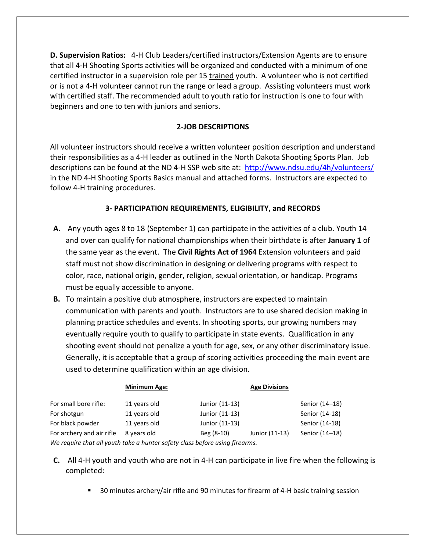**D. Supervision Ratios:** 4-H Club Leaders/certified instructors/Extension Agents are to ensure that all 4-H Shooting Sports activities will be organized and conducted with a minimum of one certified instructor in a supervision role per 15 trained youth. A volunteer who is not certified or is not a 4-H volunteer cannot run the range or lead a group. Assisting volunteers must work with certified staff. The recommended adult to youth ratio for instruction is one to four with beginners and one to ten with juniors and seniors.

#### **2-JOB DESCRIPTIONS**

All volunteer instructors should receive a written volunteer position description and understand their responsibilities as a 4-H leader as outlined in the North Dakota Shooting Sports Plan. Job descriptions can be found at the ND 4-H SSP web site at: [http://www.ndsu.edu/4h/](http://www.ndsu.edu/4h)volunteers/ in the ND 4-H Shooting Sports Basics manual and attached forms. Instructors are expected to follow 4-H training procedures.

#### **3- PARTICIPATION REQUIREMENTS, ELIGIBILITY, and RECORDS**

- **A.** Any youth ages 8 to 18 (September 1) can participate in the activities of a club. Youth 14 and over can qualify for national championships when their birthdate is after **January 1** of the same year as the event. The **Civil Rights Act of 1964** Extension volunteers and paid staff must not show discrimination in designing or delivering programs with respect to color, race, national origin, gender, religion, sexual orientation, or handicap. Programs must be equally accessible to anyone.
- **B.** To maintain a positive club atmosphere, instructors are expected to maintain communication with parents and youth. Instructors are to use shared decision making in planning practice schedules and events. In shooting sports, our growing numbers may eventually require youth to qualify to participate in state events. Qualification in any shooting event should not penalize a youth for age, sex, or any other discriminatory issue. Generally, it is acceptable that a group of scoring activities proceeding the main event are used to determine qualification within an age division.

|                           | <b>Minimum Age:</b> |                | <b>Age Divisions</b> |                |
|---------------------------|---------------------|----------------|----------------------|----------------|
| For small bore rifle:     | 11 years old        | Junior (11-13) |                      | Senior (14-18) |
| For shotgun               | 11 years old        | Junior (11-13) |                      | Senior (14-18) |
| For black powder          | 11 years old        | Junior (11-13) |                      | Senior (14-18) |
| For archery and air rifle | 8 years old         | Beg (8-10)     | Junior (11-13)       | Senior (14-18) |
|                           |                     |                |                      |                |

*We require that all youth take a hunter safety class before using firearms.*

- **C.** All 4-H youth and youth who are not in 4-H can participate in live fire when the following is completed:
	- 30 minutes archery/air rifle and 90 minutes for firearm of 4-H basic training session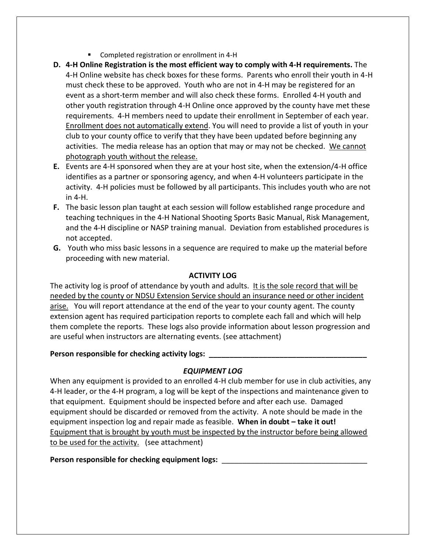- Completed registration or enrollment in 4-H
- **D. 4-H Online Registration is the most efficient way to comply with 4-H requirements.** The 4-H Online website has check boxes for these forms. Parents who enroll their youth in 4-H must check these to be approved. Youth who are not in 4-H may be registered for an event as a short-term member and will also check these forms. Enrolled 4-H youth and other youth registration through 4-H Online once approved by the county have met these requirements. 4-H members need to update their enrollment in September of each year. Enrollment does not automatically extend. You will need to provide a list of youth in your club to your county office to verify that they have been updated before beginning any activities. The media release has an option that may or may not be checked. We cannot photograph youth without the release.
- **E.** Events are 4-H sponsored when they are at your host site, when the extension/4-H office identifies as a partner or sponsoring agency, and when 4-H volunteers participate in the activity. 4-H policies must be followed by all participants. This includes youth who are not in 4-H.
- **F.** The basic lesson plan taught at each session will follow established range procedure and teaching techniques in the 4-H National Shooting Sports Basic Manual, Risk Management, and the 4-H discipline or NASP training manual. Deviation from established procedures is not accepted.
- **G.** Youth who miss basic lessons in a sequence are required to make up the material before proceeding with new material.

#### **ACTIVITY LOG**

The activity log is proof of attendance by youth and adults. It is the sole record that will be needed by the county or NDSU Extension Service should an insurance need or other incident arise. You will report attendance at the end of the year to your county agent. The county extension agent has required participation reports to complete each fall and which will help them complete the reports. These logs also provide information about lesson progression and are useful when instructors are alternating events. (see attachment)

#### Person responsible for checking activity logs:

#### *EQUIPMENT LOG*

When any equipment is provided to an enrolled 4-H club member for use in club activities, any 4-H leader, or the 4-H program, a log will be kept of the inspections and maintenance given to that equipment. Equipment should be inspected before and after each use. Damaged equipment should be discarded or removed from the activity. A note should be made in the equipment inspection log and repair made as feasible. **When in doubt – take it out!** Equipment that is brought by youth must be inspected by the instructor before being allowed to be used for the activity. (see attachment)

Person responsible for checking equipment logs: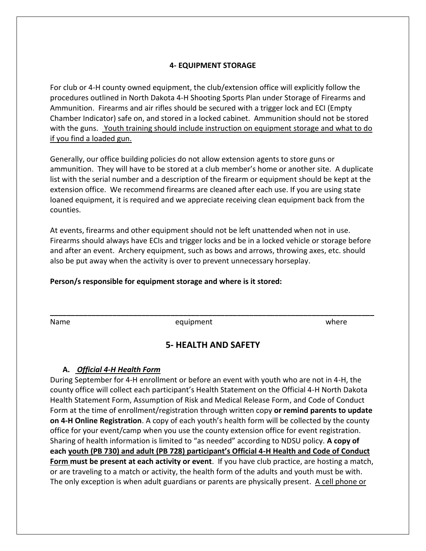#### **4- EQUIPMENT STORAGE**

For club or 4-H county owned equipment, the club/extension office will explicitly follow the procedures outlined in North Dakota 4-H Shooting Sports Plan under Storage of Firearms and Ammunition. Firearms and air rifles should be secured with a trigger lock and ECI (Empty Chamber Indicator) safe on, and stored in a locked cabinet. Ammunition should not be stored with the guns. Youth training should include instruction on equipment storage and what to do if you find a loaded gun.

Generally, our office building policies do not allow extension agents to store guns or ammunition. They will have to be stored at a club member's home or another site. A duplicate list with the serial number and a description of the firearm or equipment should be kept at the extension office. We recommend firearms are cleaned after each use. If you are using state loaned equipment, it is required and we appreciate receiving clean equipment back from the counties.

At events, firearms and other equipment should not be left unattended when not in use. Firearms should always have ECIs and trigger locks and be in a locked vehicle or storage before and after an event. Archery equipment, such as bows and arrows, throwing axes, etc. should also be put away when the activity is over to prevent unnecessary horseplay.

#### **Person/s responsible for equipment storage and where is it stored:**

Name equipment where where

#### **5- HEALTH AND SAFETY**

**\_\_\_\_\_\_\_\_\_\_\_\_\_\_\_\_\_\_\_\_\_\_\_\_\_\_\_\_\_\_\_\_\_\_\_\_\_\_\_\_\_\_\_\_\_\_\_\_\_\_\_\_\_\_\_\_\_\_\_\_\_\_\_\_\_\_\_\_\_\_\_\_\_\_\_\_\_\_**

#### **A.** *Official 4-H Health Form*

During September for 4-H enrollment or before an event with youth who are not in 4-H, the county office will collect each participant's Health Statement on the Official 4-H North Dakota Health Statement Form, Assumption of Risk and Medical Release Form, and Code of Conduct Form at the time of enrollment/registration through written copy **or remind parents to update on 4-H Online Registration**. A copy of each youth's health form will be collected by the county office for your event/camp when you use the county extension office for event registration. Sharing of health information is limited to "as needed" according to NDSU policy. **A copy of each youth (PB 730) and adult (PB 728) participant's Official 4-H Health and Code of Conduct Form must be present at each activity or event**. If you have club practice, are hosting a match, or are traveling to a match or activity, the health form of the adults and youth must be with. The only exception is when adult guardians or parents are physically present. A cell phone or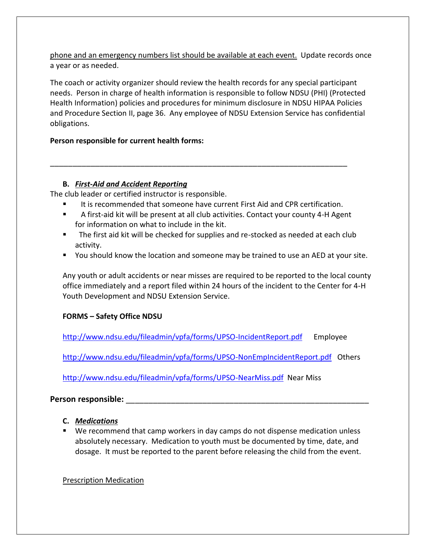phone and an emergency numbers list should be available at each event. Update records once a year or as needed.

The coach or activity organizer should review the health records for any special participant needs. Person in charge of health information is responsible to follow NDSU (PHI) (Protected Health Information) policies and procedures for minimum disclosure in NDSU HIPAA Policies and Procedure Section II, page 36. Any employee of NDSU Extension Service has confidential obligations.

#### **Person responsible for current health forms:**

#### **B.** *First-Aid and Accident Reporting*

The club leader or certified instructor is responsible.

It is recommended that someone have current First Aid and CPR certification.

\_\_\_\_\_\_\_\_\_\_\_\_\_\_\_\_\_\_\_\_\_\_\_\_\_\_\_\_\_\_\_\_\_\_\_\_\_\_\_\_\_\_\_\_\_\_\_\_\_\_\_\_\_\_\_\_\_\_\_\_\_\_\_\_\_\_

- A first-aid kit will be present at all club activities. Contact your county 4-H Agent for information on what to include in the kit.
- The first aid kit will be checked for supplies and re-stocked as needed at each club activity.
- You should know the location and someone may be trained to use an AED at your site.

Any youth or adult accidents or near misses are required to be reported to the local county office immediately and a report filed within 24 hours of the incident to the Center for 4-H Youth Development and NDSU Extension Service.

#### **FORMS – Safety Office NDSU**

<http://www.ndsu.edu/fileadmin/vpfa/forms/UPSO-IncidentReport.pdf>Employee

<http://www.ndsu.edu/fileadmin/vpfa/forms/UPSO-NonEmpIncidentReport.pdf>Others

<http://www.ndsu.edu/fileadmin/vpfa/forms/UPSO-NearMiss.pdf>Near Miss

#### **Person responsible:** \_\_\_\_\_\_\_\_\_\_\_\_\_\_\_\_\_\_\_\_\_\_\_\_\_\_\_\_\_\_\_\_\_\_\_\_\_\_\_\_\_\_\_\_\_\_\_\_\_\_\_\_\_\_

- **C.** *Medications*
- We recommend that camp workers in day camps do not dispense medication unless absolutely necessary. Medication to youth must be documented by time, date, and dosage. It must be reported to the parent before releasing the child from the event.

#### Prescription Medication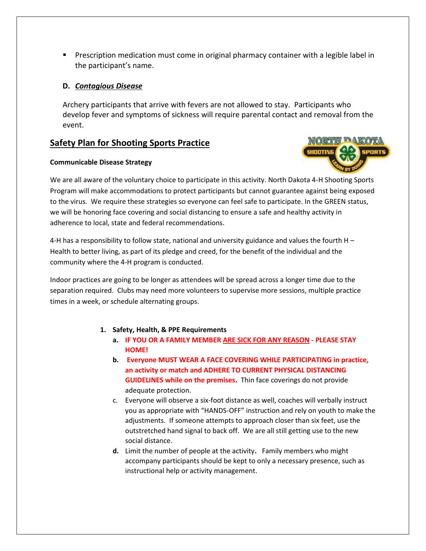■ Prescription medication must come in original pharmacy container with a legible label in the participant's name.

#### **D.** *Contagious Disease*

Archery participants that arrive with fevers are not allowed to stay. Participants who develop fever and symptoms of sickness will require parental contact and removal from the event.

#### **Safety Plan for Shooting Sports Practice**

#### **Communicable Disease Strategy**



We are all aware of the voluntary choice to participate in this activity. North Dakota 4-H Shooting Sports Program will make accommodations to protect participants but cannot guarantee against being exposed to the virus. We require these strategies so everyone can feel safe to participate. In the GREEN status, we will be honoring face covering and social distancing to ensure a safe and healthy activity in adherence to local, state and federal recommendations.

4-H has a responsibility to follow state, national and university guidance and values the fourth H – Health to better living, as part of its pledge and creed, for the benefit of the individual and the community where the 4-H program is conducted.

Indoor practices are going to be longer as attendees will be spread across a longer time due to the separation required. Clubs may need more volunteers to supervise more sessions, multiple practice times in a week, or schedule alternating groups.

#### **1. Safety, Health, & PPE Requirements**

- **a. IF YOU OR A FAMILY MEMBER ARE SICK FOR ANY REASON - PLEASE STAY HOME!**
- **b. Everyone MUST WEAR A FACE COVERING WHILE PARTICIPATING in practice, an activity or match and ADHERE TO CURRENT PHYSICAL DISTANCING GUIDELINES while on the premises.** Thin face coverings do not provide adequate protection.
- c. Everyone will observe a six-foot distance as well, coaches will verbally instruct you as appropriate with "HANDS-OFF" instruction and rely on youth to make the adjustments. If someone attempts to approach closer than six feet, use the outstretched hand signal to back off. We are all still getting use to the new social distance.
- **d.** Limit the number of people at the activity**.** Family members who might accompany participants should be kept to only a necessary presence, such as instructional help or activity management.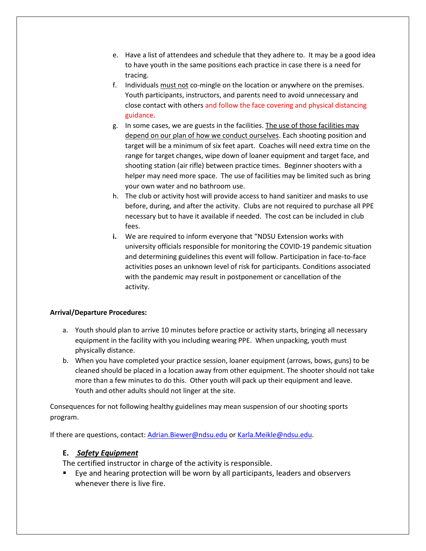- e. Have a list of attendees and schedule that they adhere to. It may be a good idea to have youth in the same positions each practice in case there is a need for tracing.
- f. Individuals must not co-mingle on the location or anywhere on the premises. Youth participants, instructors, and parents need to avoid unnecessary and close contact with others and follow the face covering and physical distancing guidance.
- g. In some cases, we are guests in the facilities. The use of those facilities may depend on our plan of how we conduct ourselves. Each shooting position and target will be a minimum of six feet apart. Coaches will need extra time on the range for target changes, wipe down of loaner equipment and target face, and shooting station (air rifle) between practice times. Beginner shooters with a helper may need more space. The use of facilities may be limited such as bring your own water and no bathroom use.
- h. The club or activity host will provide access to hand sanitizer and masks to use before, during, and after the activity. Clubs are not required to purchase all PPE necessary but to have it available if needed. The cost can be included in club fees.
- **i.** We are required to inform everyone that "NDSU Extension works with university officials responsible for monitoring the COVID-19 pandemic situation and determining guidelines this event will follow. Participation in face-to-face activities poses an unknown level of risk for participants. Conditions associated with the pandemic may result in postponement or cancellation of the activity.

#### **Arrival/Departure Procedures:**

- a. Youth should plan to arrive 10 minutes before practice or activity starts, bringing all necessary equipment in the facility with you including wearing PPE. When unpacking, youth must physically distance.
- b. When you have completed your practice session, loaner equipment (arrows, bows, guns) to be cleaned should be placed in a location away from other equipment. The shooter should not take more than a few minutes to do this. Other youth will pack up their equipment and leave. Youth and other adults should not linger at the site.

Consequences for not following healthy guidelines may mean suspension of our shooting sports program.

If there are questions, contact: [Adrian.Biewer@ndsu.edu](mailto:Adrian.Biewer@ndsu.edu) o[r Karla.Meikle@ndsu.edu.](mailto:Karla.Meikle@ndsu.edu)

#### **E.** *Safety Equipment*

The certified instructor in charge of the activity is responsible.

■ Eye and hearing protection will be worn by all participants, leaders and observers whenever there is live fire.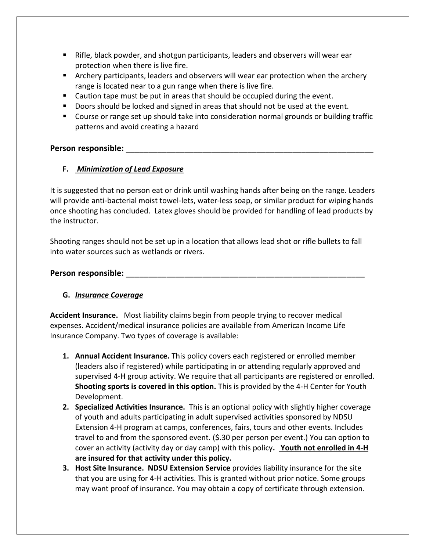- Rifle, black powder, and shotgun participants, leaders and observers will wear ear protection when there is live fire.
- **EXED** Archery participants, leaders and observers will wear ear protection when the archery range is located near to a gun range when there is live fire.
- Caution tape must be put in areas that should be occupied during the event.
- Doors should be locked and signed in areas that should not be used at the event.
- Course or range set up should take into consideration normal grounds or building traffic patterns and avoid creating a hazard

#### Person responsible:

#### **F.** *Minimization of Lead Exposure*

It is suggested that no person eat or drink until washing hands after being on the range. Leaders will provide anti-bacterial moist towel-lets, water-less soap, or similar product for wiping hands once shooting has concluded. Latex gloves should be provided for handling of lead products by the instructor.

Shooting ranges should not be set up in a location that allows lead shot or rifle bullets to fall into water sources such as wetlands or rivers.

#### **Person responsible:** \_\_\_\_\_\_\_\_\_\_\_\_\_\_\_\_\_\_\_\_\_\_\_\_\_\_\_\_\_\_\_\_\_\_\_\_\_\_\_\_\_\_\_\_\_\_\_\_\_\_\_\_\_

#### **G.** *Insurance Coverage*

**Accident Insurance.** Most liability claims begin from people trying to recover medical expenses. Accident/medical insurance policies are available from American Income Life Insurance Company. Two types of coverage is available:

- **1. Annual Accident Insurance.** This policy covers each registered or enrolled member (leaders also if registered) while participating in or attending regularly approved and supervised 4-H group activity. We require that all participants are registered or enrolled. **Shooting sports is covered in this option.** This is provided by the 4-H Center for Youth Development.
- **2. Specialized Activities Insurance.** This is an optional policy with slightly higher coverage of youth and adults participating in adult supervised activities sponsored by NDSU Extension 4-H program at camps, conferences, fairs, tours and other events. Includes travel to and from the sponsored event. (\$.30 per person per event.) You can option to cover an activity (activity day or day camp) with this policy**. Youth not enrolled in 4-H are insured for that activity under this policy.**
- **3. Host Site Insurance. NDSU Extension Service** provides liability insurance for the site that you are using for 4-H activities. This is granted without prior notice. Some groups may want proof of insurance. You may obtain a copy of certificate through extension.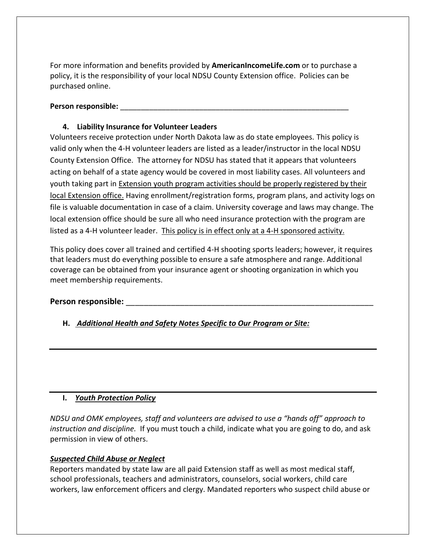For more information and benefits provided by **AmericanIncomeLife.com** or to purchase a policy, it is the responsibility of your local NDSU County Extension office. Policies can be purchased online.

#### Person responsible:

#### **4. Liability Insurance for Volunteer Leaders**

Volunteers receive protection under North Dakota law as do state employees. This policy is valid only when the 4-H volunteer leaders are listed as a leader/instructor in the local NDSU County Extension Office. The attorney for NDSU has stated that it appears that volunteers acting on behalf of a state agency would be covered in most liability cases. All volunteers and youth taking part in Extension youth program activities should be properly registered by their local Extension office. Having enrollment/registration forms, program plans, and activity logs on file is valuable documentation in case of a claim. University coverage and laws may change. The local extension office should be sure all who need insurance protection with the program are listed as a 4-H volunteer leader. This policy is in effect only at a 4-H sponsored activity.

This policy does cover all trained and certified 4-H shooting sports leaders; however, it requires that leaders must do everything possible to ensure a safe atmosphere and range. Additional coverage can be obtained from your insurance agent or shooting organization in which you meet membership requirements.

#### Person responsible:

#### **H.** *Additional Health and Safety Notes Specific to Our Program or Site:*

#### **I.** *Youth Protection Policy*

*NDSU and OMK employees, staff and volunteers are advised to use a "hands off" approach to instruction and discipline.* If you must touch a child, indicate what you are going to do, and ask permission in view of others.

#### *Suspected Child Abuse or Neglect*

Reporters mandated by state law are all paid Extension staff as well as most medical staff, school professionals, teachers and administrators, counselors, social workers, child care workers, law enforcement officers and clergy. Mandated reporters who suspect child abuse or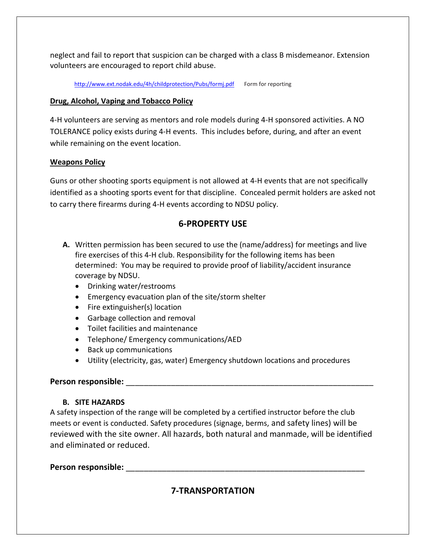neglect and fail to report that suspicion can be charged with a class B misdemeanor. Extension volunteers are encouraged to report child abuse.

<http://www.ext.nodak.edu/4h/childprotection/Pubs/formj.pdf>Form for reporting

#### **Drug, Alcohol, Vaping and Tobacco Policy**

4-H volunteers are serving as mentors and role models during 4-H sponsored activities. A NO TOLERANCE policy exists during 4-H events. This includes before, during, and after an event while remaining on the event location.

#### **Weapons Policy**

Guns or other shooting sports equipment is not allowed at 4-H events that are not specifically identified as a shooting sports event for that discipline. Concealed permit holders are asked not to carry there firearms during 4-H events according to NDSU policy.

#### **6-PROPERTY USE**

- **A.** Written permission has been secured to use the (name/address) for meetings and live fire exercises of this 4-H club. Responsibility for the following items has been determined: You may be required to provide proof of liability/accident insurance coverage by NDSU.
	- Drinking water/restrooms
	- Emergency evacuation plan of the site/storm shelter
	- Fire extinguisher(s) location
	- Garbage collection and removal
	- Toilet facilities and maintenance
	- Telephone/ Emergency communications/AED
	- Back up communications
	- Utility (electricity, gas, water) Emergency shutdown locations and procedures

#### **Person responsible:** \_\_\_\_\_\_\_\_\_\_\_\_\_\_\_\_\_\_\_\_\_\_\_\_\_\_\_\_\_\_\_\_\_\_\_\_\_\_\_\_\_\_\_\_\_\_\_\_\_\_\_\_\_\_\_

#### **B. SITE HAZARDS**

A safety inspection of the range will be completed by a certified instructor before the club meets or event is conducted. Safety procedures (signage, berms, and safety lines) will be reviewed with the site owner. All hazards, both natural and manmade, will be identified and eliminated or reduced.

#### **Person responsible:** \_\_\_\_\_\_\_\_\_\_\_\_\_\_\_\_\_\_\_\_\_\_\_\_\_\_\_\_\_\_\_\_\_\_\_\_\_\_\_\_\_\_\_\_\_\_\_\_\_\_\_\_\_

## **7-TRANSPORTATION**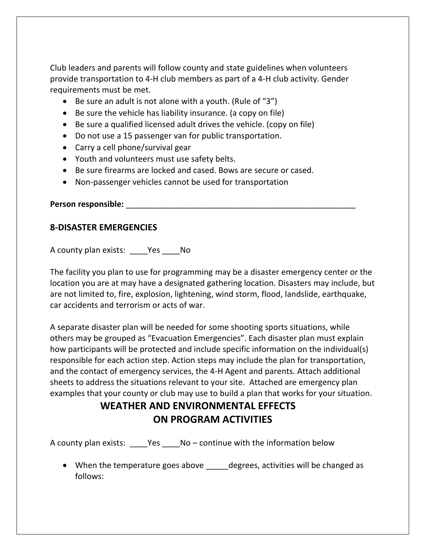Club leaders and parents will follow county and state guidelines when volunteers provide transportation to 4-H club members as part of a 4-H club activity. Gender requirements must be met.

- Be sure an adult is not alone with a youth. (Rule of "3")
- Be sure the vehicle has liability insurance. (a copy on file)
- Be sure a qualified licensed adult drives the vehicle. (copy on file)
- Do not use a 15 passenger van for public transportation.
- Carry a cell phone/survival gear
- Youth and volunteers must use safety belts.
- Be sure firearms are locked and cased. Bows are secure or cased.
- Non-passenger vehicles cannot be used for transportation

**Person responsible:** \_\_\_\_\_\_\_\_\_\_\_\_\_\_\_\_\_\_\_\_\_\_\_\_\_\_\_\_\_\_\_\_\_\_\_\_\_\_\_\_\_\_\_\_\_\_\_\_\_\_\_

#### **8-DISASTER EMERGENCIES**

A county plan exists: \_\_\_\_Yes \_\_\_\_No

The facility you plan to use for programming may be a disaster emergency center or the location you are at may have a designated gathering location. Disasters may include, but are not limited to, fire, explosion, lightening, wind storm, flood, landslide, earthquake, car accidents and terrorism or acts of war.

A separate disaster plan will be needed for some shooting sports situations, while others may be grouped as "Evacuation Emergencies". Each disaster plan must explain how participants will be protected and include specific information on the individual(s) responsible for each action step. Action steps may include the plan for transportation, and the contact of emergency services, the 4-H Agent and parents. Attach additional sheets to address the situations relevant to your site. Attached are emergency plan examples that your county or club may use to build a plan that works for your situation.

## **WEATHER AND ENVIRONMENTAL EFFECTS ON PROGRAM ACTIVITIES**

A county plan exists: \_\_\_\_Yes \_\_\_\_No – continue with the information below

• When the temperature goes above degrees, activities will be changed as follows: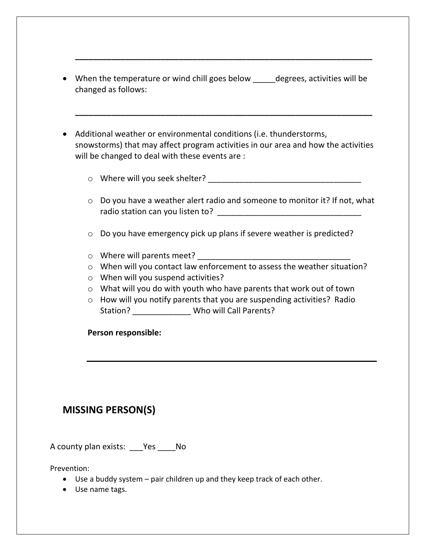• When the temperature or wind chill goes below \_\_\_\_\_degrees, activities will be changed as follows:

**\_\_\_\_\_\_\_\_\_\_\_\_\_\_\_\_\_\_\_\_\_\_\_\_\_\_\_\_\_\_\_\_\_\_\_\_\_\_\_\_\_\_\_\_\_\_\_\_\_\_\_\_\_\_\_\_\_\_\_\_\_\_\_\_\_\_**

**\_\_\_\_\_\_\_\_\_\_\_\_\_\_\_\_\_\_\_\_\_\_\_\_\_\_\_\_\_\_\_\_\_\_\_\_\_\_\_\_\_\_\_\_\_\_\_\_\_\_\_\_\_\_\_\_\_\_\_\_\_\_\_\_\_\_**

- Additional weather or environmental conditions (i.e. thunderstorms, snowstorms) that may affect program activities in our area and how the activities will be changed to deal with these events are :
	- $\circ$  Where will you seek shelter?  $\circ$
	- $\circ$  Do you have a weather alert radio and someone to monitor it? If not, what radio station can you listen to? \_\_\_\_\_\_\_\_\_\_\_\_\_\_\_\_\_\_\_\_\_\_\_\_\_\_\_\_\_\_\_\_
	- o Do you have emergency pick up plans if severe weather is predicted?
	- $\circ$  Where will parents meet?
	- o When will you contact law enforcement to assess the weather situation?
	- o When will you suspend activities?
	- o What will you do with youth who have parents that work out of town
	- o How will you notify parents that you are suspending activities? Radio Station? \_\_\_\_\_\_\_\_\_\_\_\_\_ Who will Call Parents?

#### **Person responsible:**

## **MISSING PERSON(S)**

A county plan exists: \_\_\_Yes \_\_\_\_No

Prevention:

- Use a buddy system pair children up and they keep track of each other.
- Use name tags.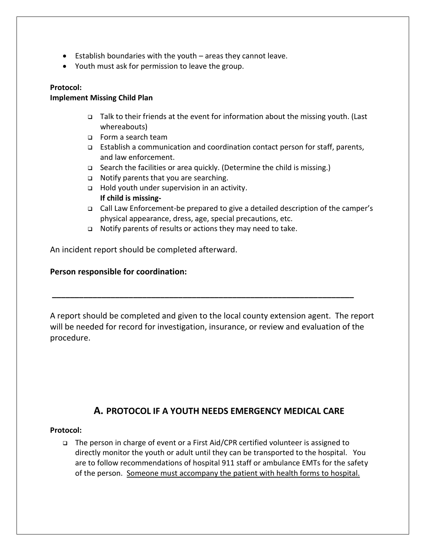- Establish boundaries with the youth areas they cannot leave.
- Youth must ask for permission to leave the group.

#### **Protocol:**

#### **Implement Missing Child Plan**

- ❑ Talk to their friends at the event for information about the missing youth. (Last whereabouts)
- ❑ Form a search team
- ❑ Establish a communication and coordination contact person for staff, parents, and law enforcement.
- ❑ Search the facilities or area quickly. (Determine the child is missing.)
- ❑ Notify parents that you are searching.
- ❑ Hold youth under supervision in an activity. **If child is missing-**
- ❑ Call Law Enforcement-be prepared to give a detailed description of the camper's physical appearance, dress, age, special precautions, etc.
- ❑ Notify parents of results or actions they may need to take.

An incident report should be completed afterward.

#### **Person responsible for coordination:**

A report should be completed and given to the local county extension agent. The report will be needed for record for investigation, insurance, or review and evaluation of the procedure.

**\_\_\_\_\_\_\_\_\_\_\_\_\_\_\_\_\_\_\_\_\_\_\_\_\_\_\_\_\_\_\_\_\_\_\_\_\_\_\_\_\_\_\_\_\_\_\_\_\_\_\_\_\_\_\_\_\_\_\_\_\_\_\_\_\_\_\_**

#### **A. PROTOCOL IF A YOUTH NEEDS EMERGENCY MEDICAL CARE**

#### **Protocol:**

❑ The person in charge of event or a First Aid/CPR certified volunteer is assigned to directly monitor the youth or adult until they can be transported to the hospital. You are to follow recommendations of hospital 911 staff or ambulance EMTs for the safety of the person. Someone must accompany the patient with health forms to hospital.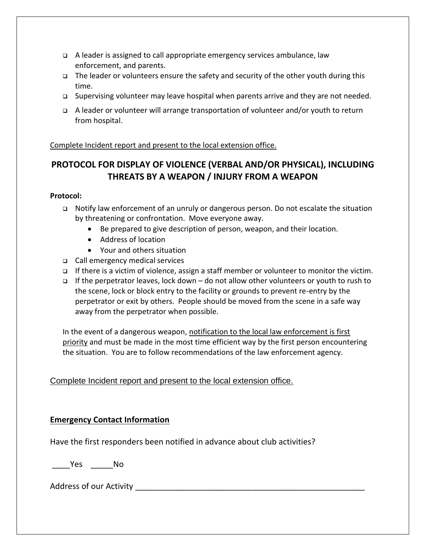- ❑ A leader is assigned to call appropriate emergency services ambulance, law enforcement, and parents.
- ❑ The leader or volunteers ensure the safety and security of the other youth during this time.
- ❑ Supervising volunteer may leave hospital when parents arrive and they are not needed.
- ❑ A leader or volunteer will arrange transportation of volunteer and/or youth to return from hospital.

#### Complete Incident report and present to the local extension office.

### **PROTOCOL FOR DISPLAY OF VIOLENCE (VERBAL AND/OR PHYSICAL), INCLUDING THREATS BY A WEAPON / INJURY FROM A WEAPON**

#### **Protocol:**

- ❑ Notify law enforcement of an unruly or dangerous person. Do not escalate the situation by threatening or confrontation. Move everyone away.
	- Be prepared to give description of person, weapon, and their location.
	- Address of location
	- Your and others situation
- ❑ Call emergency medical services
- ❑ If there is a victim of violence, assign a staff member or volunteer to monitor the victim.
- ❑ If the perpetrator leaves, lock down do not allow other volunteers or youth to rush to the scene, lock or block entry to the facility or grounds to prevent re-entry by the perpetrator or exit by others. People should be moved from the scene in a safe way away from the perpetrator when possible.

In the event of a dangerous weapon, notification to the local law enforcement is first priority and must be made in the most time efficient way by the first person encountering the situation. You are to follow recommendations of the law enforcement agency.

#### Complete Incident report and present to the local extension office.

#### **Emergency Contact Information**

Have the first responders been notified in advance about club activities?

\_\_\_\_Yes \_\_\_\_\_No

Address of our Activity and the state of the state of  $\sim$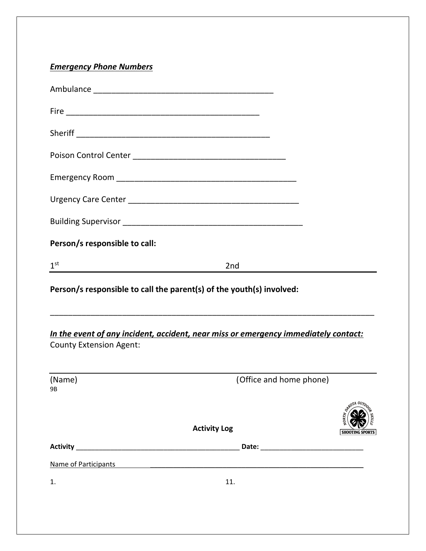## *Emergency Phone Numbers*

| Person/s responsible to call:                                                                                         |                         |                        |
|-----------------------------------------------------------------------------------------------------------------------|-------------------------|------------------------|
| 1 <sup>st</sup>                                                                                                       | 2nd                     |                        |
| Person/s responsible to call the parent(s) of the youth(s) involved:                                                  |                         |                        |
| In the event of any incident, accident, near miss or emergency immediately contact:<br><b>County Extension Agent:</b> |                         |                        |
| (Name)<br>9B                                                                                                          | (Office and home phone) |                        |
|                                                                                                                       | <b>Activity Log</b>     | <b>SHOOTING SPORTS</b> |
| <b>Activity</b>                                                                                                       |                         |                        |
| Name of Participants                                                                                                  |                         |                        |
| 1.                                                                                                                    | 11.                     |                        |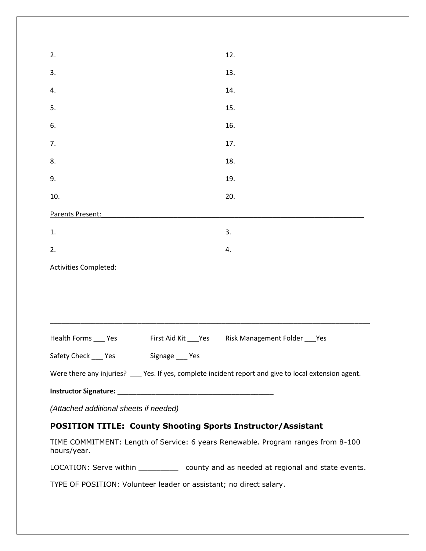| 2.                                                                                                     | 12.                            |
|--------------------------------------------------------------------------------------------------------|--------------------------------|
| 3.                                                                                                     | 13.                            |
| 4.                                                                                                     | 14.                            |
| 5.                                                                                                     | 15.                            |
| 6.                                                                                                     | 16.                            |
| 7.                                                                                                     | 17.                            |
| 8.                                                                                                     | 18.                            |
| 9.                                                                                                     | 19.                            |
| 10.                                                                                                    | 20.                            |
| Parents Present:                                                                                       |                                |
| 1.                                                                                                     | 3.                             |
| 2.                                                                                                     | 4.                             |
| <b>Activities Completed:</b>                                                                           |                                |
|                                                                                                        |                                |
|                                                                                                        |                                |
|                                                                                                        |                                |
| Health Forms ____ Yes<br>First Aid Kit ___ Yes                                                         | Risk Management Folder ___ Yes |
| Safety Check ____ Yes Signage ___ Yes                                                                  |                                |
| Were there any injuries? ____ Yes. If yes, complete incident report and give to local extension agent. |                                |
|                                                                                                        |                                |
| (Attached additional sheets if needed)                                                                 |                                |
| <b>POSITION TITLE: County Shooting Sports Instructor/Assistant</b>                                     |                                |
| TIME COMMITMENT: Length of Service: 6 years Renewable. Program ranges from 8-100<br>hours/year.        |                                |
| LOCATION: Serve within ______________ county and as needed at regional and state events.               |                                |
| TYPE OF POSITION: Volunteer leader or assistant; no direct salary.                                     |                                |